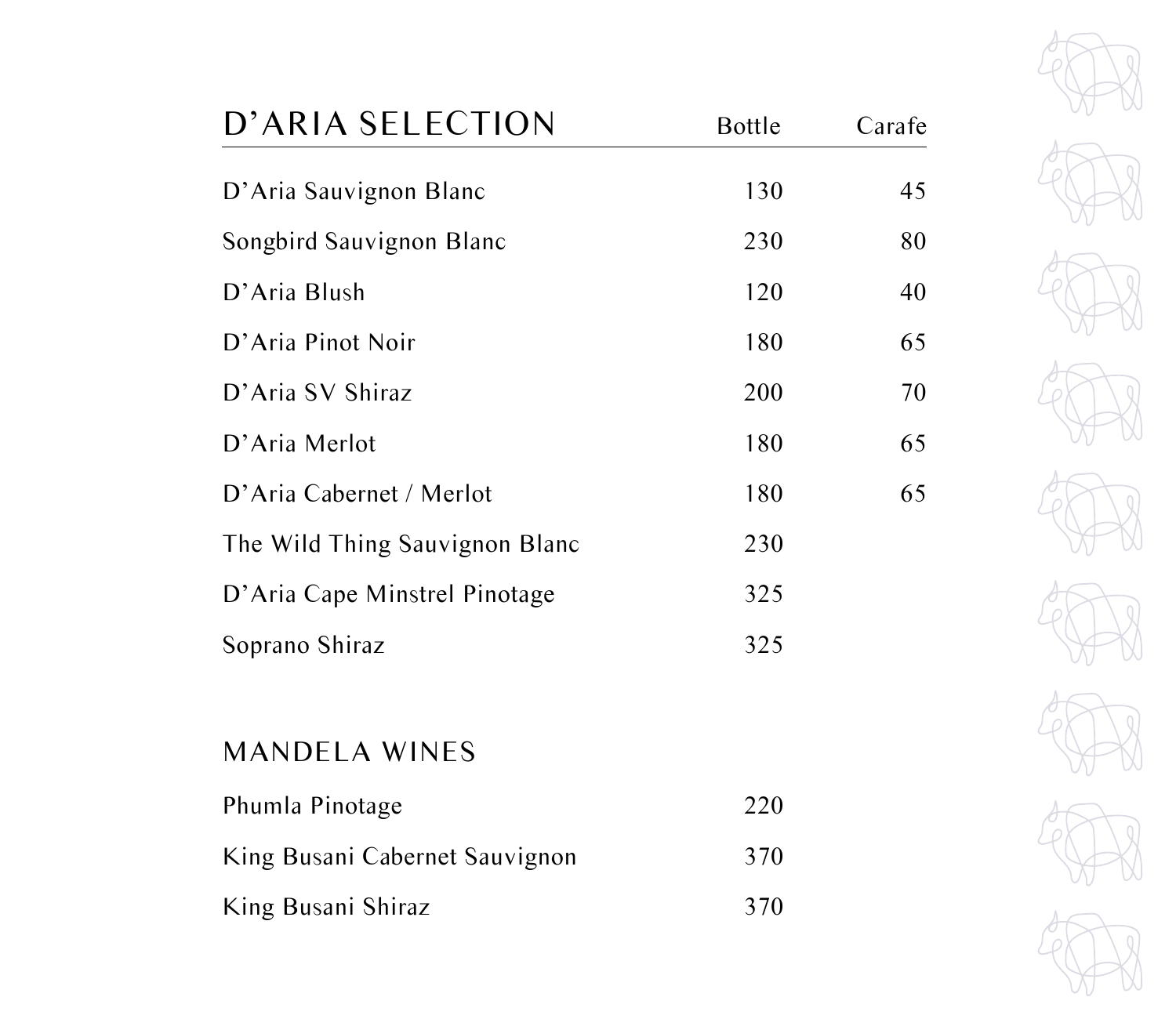| D'ARIA SELECTION               | <b>Bottle</b> | Carafe |
|--------------------------------|---------------|--------|
| D'Aria Sauvignon Blanc         | 130           | 45     |
| Songbird Sauvignon Blanc       | 230           | 80     |
| D'Aria Blush                   | 120           | 40     |
| D'Aria Pinot Noir              | 180           | 65     |
| D'Aria SV Shiraz               | 200           | 70     |
| D'Aria Merlot                  | 180           | 65     |
| D'Aria Cabernet / Merlot       | 180           | 65     |
| The Wild Thing Sauvignon Blanc | 230           |        |
| D'Aria Cape Minstrel Pinotage  | 325           |        |
| Soprano Shiraz                 | 325           |        |
|                                |               |        |
| <b>MANDELA WINES</b>           |               |        |



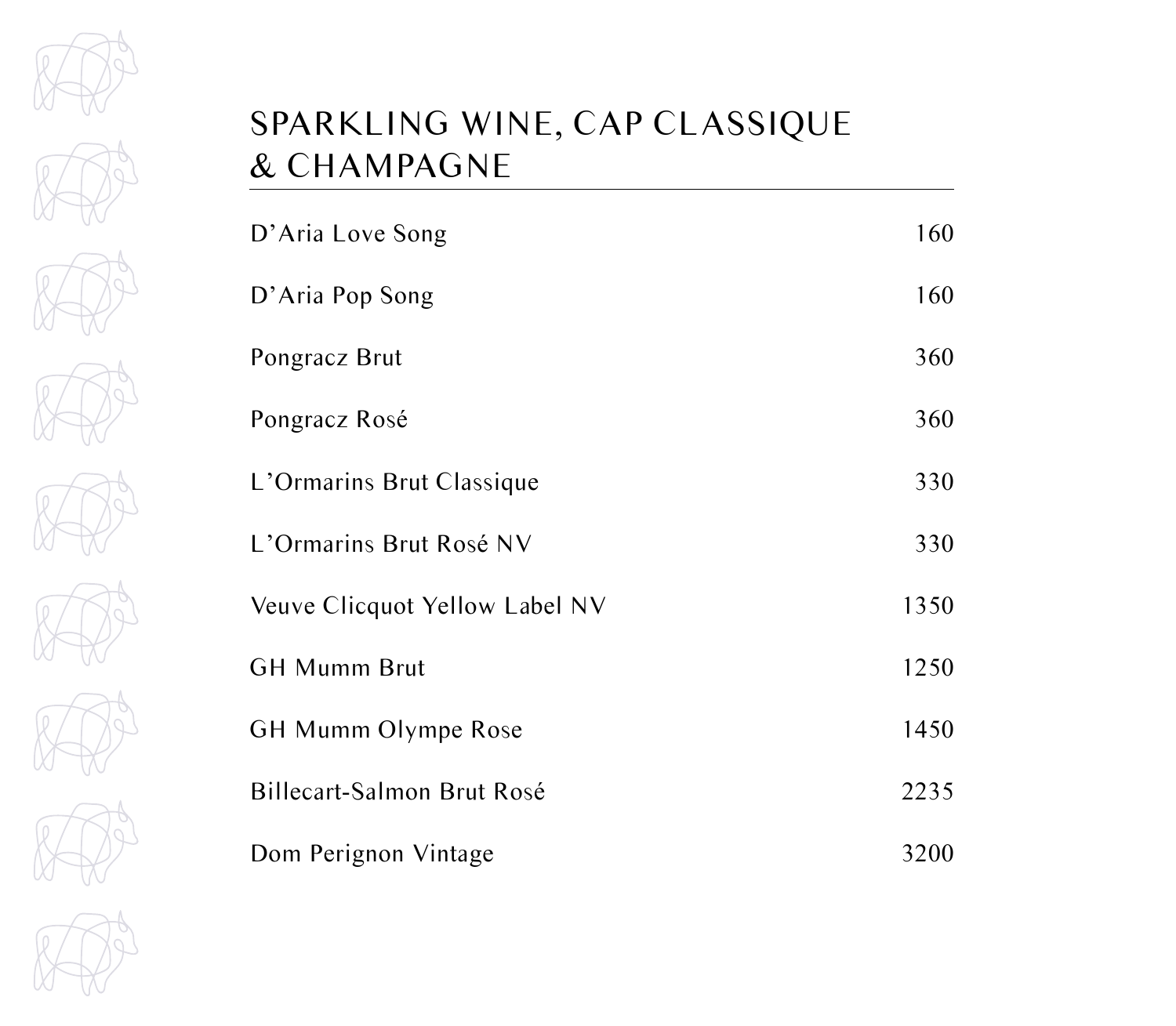

# SPARKLING WINE, CAP CLASSIQUE & CHAMPAGNE

| D'Aria Love Song               | 160  |
|--------------------------------|------|
| D'Aria Pop Song                | 160  |
| Pongracz Brut                  | 360  |
| Pongracz Rosé                  | 360  |
| L'Ormarins Brut Classique      | 330  |
| L'Ormarins Brut Rosé NV        | 330  |
| Veuve Clicquot Yellow Label NV | 1350 |
| <b>GH Mumm Brut</b>            | 1250 |
| <b>GH Mumm Olympe Rose</b>     | 1450 |
| Billecart-Salmon Brut Rosé     | 2235 |
| Dom Perignon Vintage           | 3200 |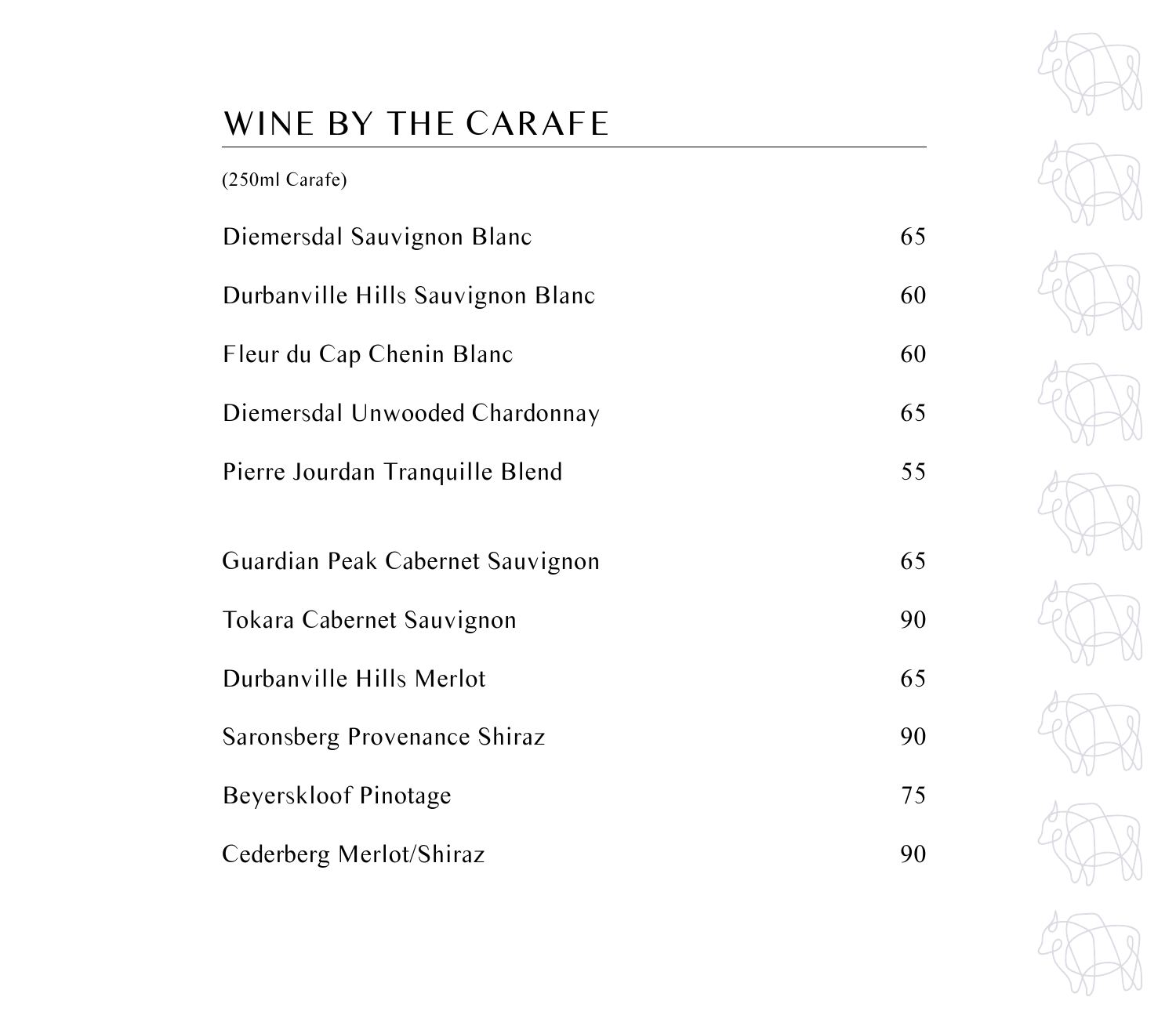# WINE BY THE CARAFE

| (250ml Carafe)                    |    |
|-----------------------------------|----|
| Diemersdal Sauvignon Blanc        | 65 |
| Durbanville Hills Sauvignon Blanc | 60 |
| Fleur du Cap Chenin Blanc         | 60 |
| Diemersdal Unwooded Chardonnay    | 65 |
| Pierre Jourdan Tranquille Blend   | 55 |
|                                   |    |
| Guardian Peak Cabernet Sauvignon  | 65 |
| Tokara Cabernet Sauvignon         | 90 |
| Durbanville Hills Merlot          | 65 |
| Saronsberg Provenance Shiraz      | 90 |
| Beyerskloof Pinotage              | 75 |
| Cederberg Merlot/Shiraz           | 90 |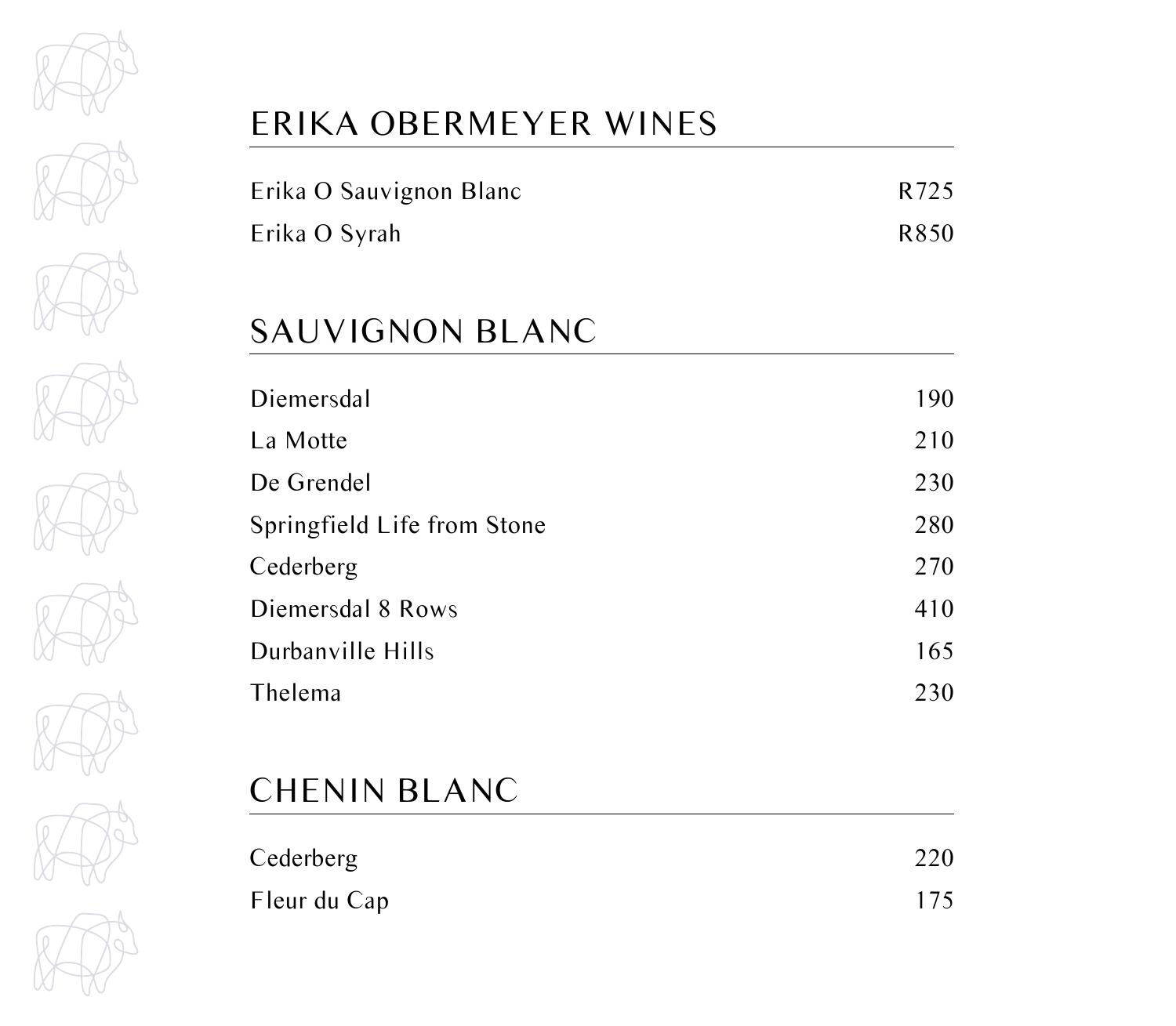

# ERIKA OBERMEYER WINES

| Erika O Sauvignon Blanc | R <sub>725</sub> |
|-------------------------|------------------|
| Erika O Syrah           | R850             |

#### SAUVIGNON BLANC

| Diemersdal                  | 190 |
|-----------------------------|-----|
| La Motte                    | 210 |
| De Grendel                  | 230 |
| Springfield Life from Stone | 280 |
| Cederberg                   | 270 |
| Diemersdal 8 Rows           | 410 |
| Durbanville Hills           | 165 |
| Thelema                     | 230 |
|                             |     |

#### CHENIN BLANC

| Cederberg    | 220 |
|--------------|-----|
| Fleur du Cap | 175 |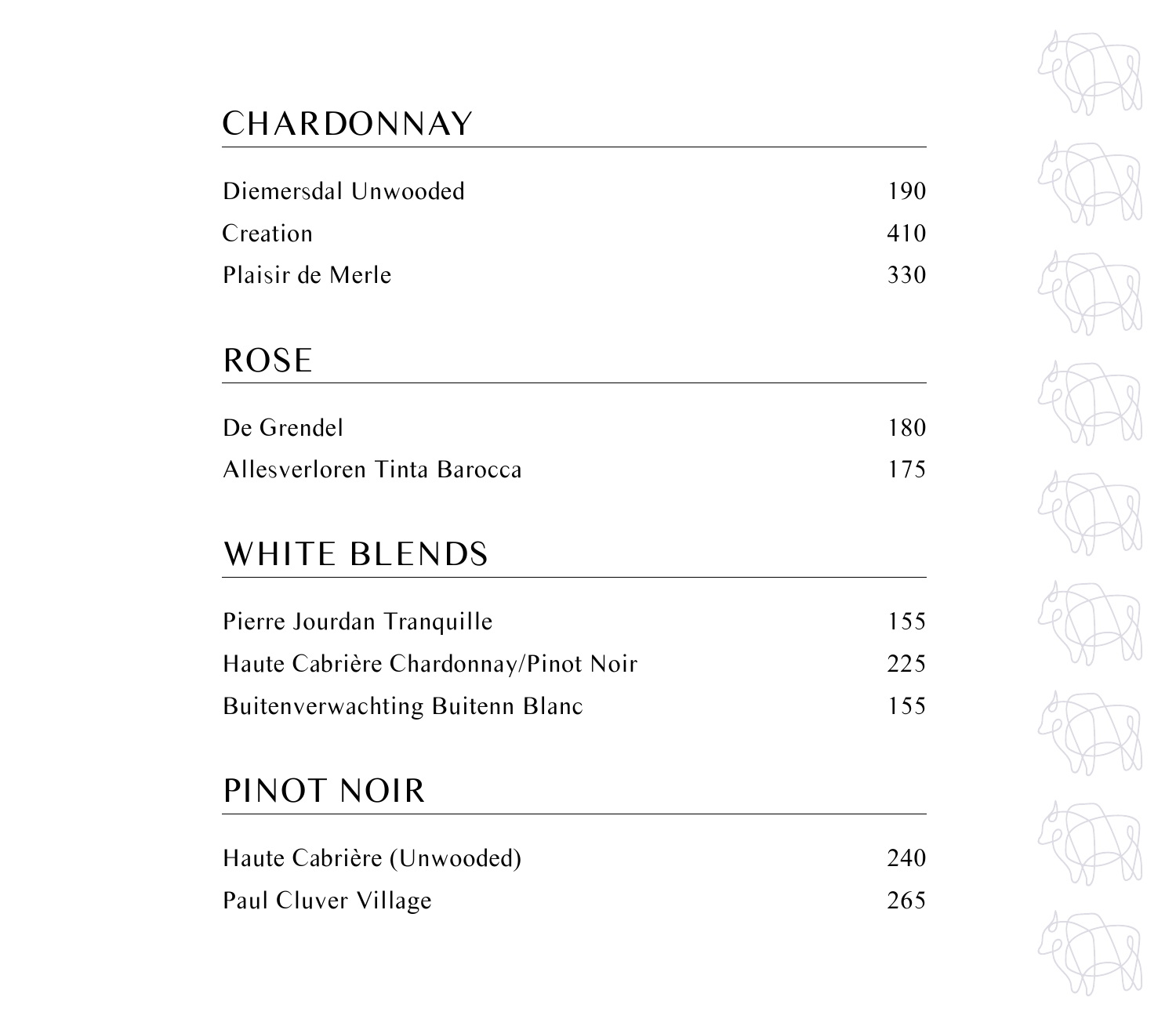# **CHARDONNAY**

| Diemersdal Unwooded | 190 |
|---------------------|-----|
| Creation            | 410 |
| Plaisir de Merle    | 330 |

## ROSE

| De Grendel                  | 180 |
|-----------------------------|-----|
| Allesverloren Tinta Barocca | 175 |

## WHITE BLENDS

| Pierre Jourdan Tranquille              | 155 |
|----------------------------------------|-----|
| Haute Cabrière Chardonnay/Pinot Noir   | 225 |
| <b>Buitenverwachting Buitenn Blanc</b> | 155 |

### PINOT NOIR

| Haute Cabrière (Unwooded) | 240 |
|---------------------------|-----|
| Paul Cluver Village       | 265 |

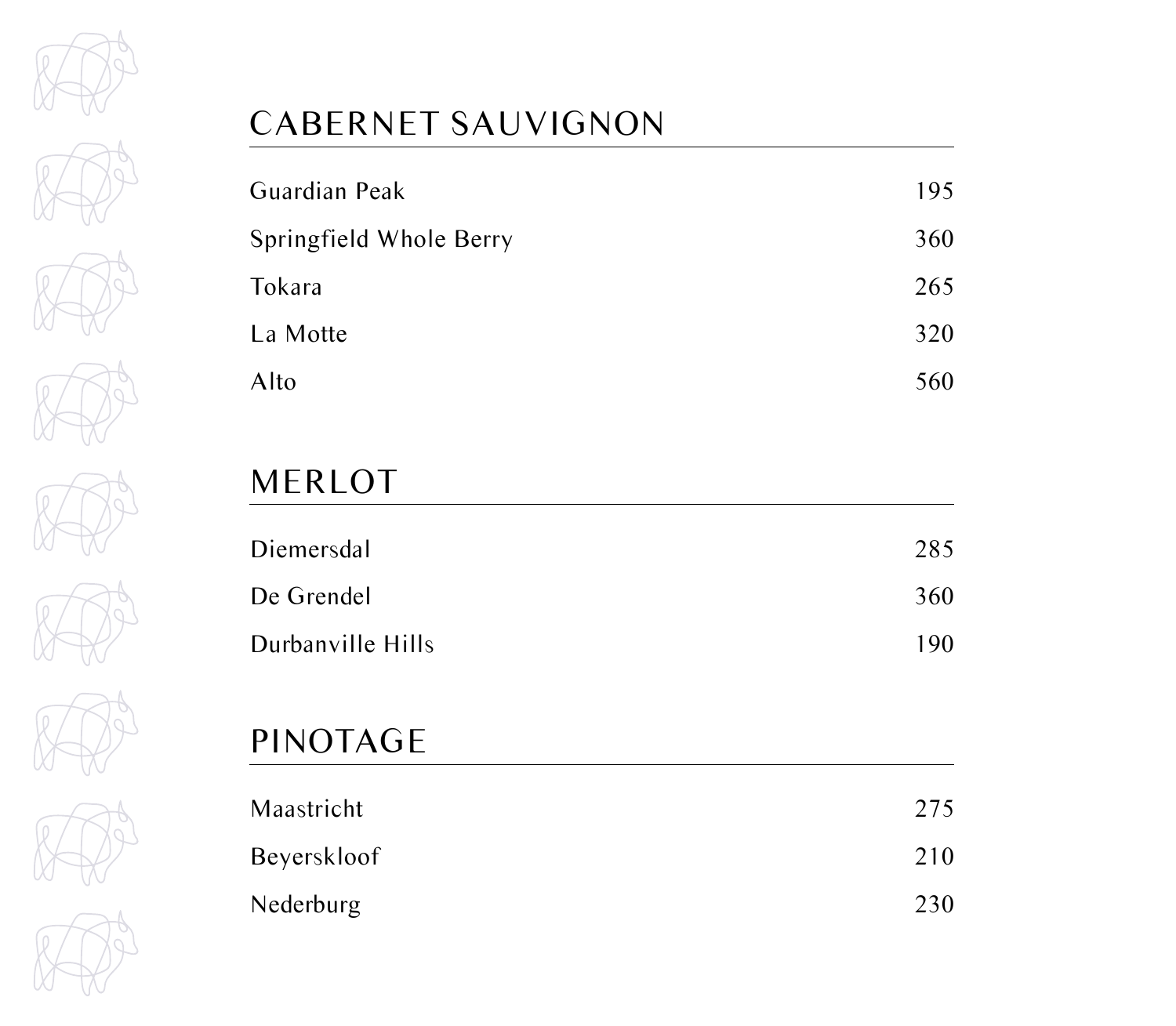

# CABERNET SAUVIGNON

| Guardian Peak           | 195 |
|-------------------------|-----|
| Springfield Whole Berry | 360 |
| Tokara                  | 265 |
| La Motte                | 320 |
| Alto                    | 560 |

# MERLOT

| Diemersdal        | 285 |
|-------------------|-----|
| De Grendel        | 360 |
| Durbanville Hills | 190 |

# PINOTAGE

| Maastricht  | 275 |
|-------------|-----|
| Beyerskloof | 210 |
| Nederburg   | 230 |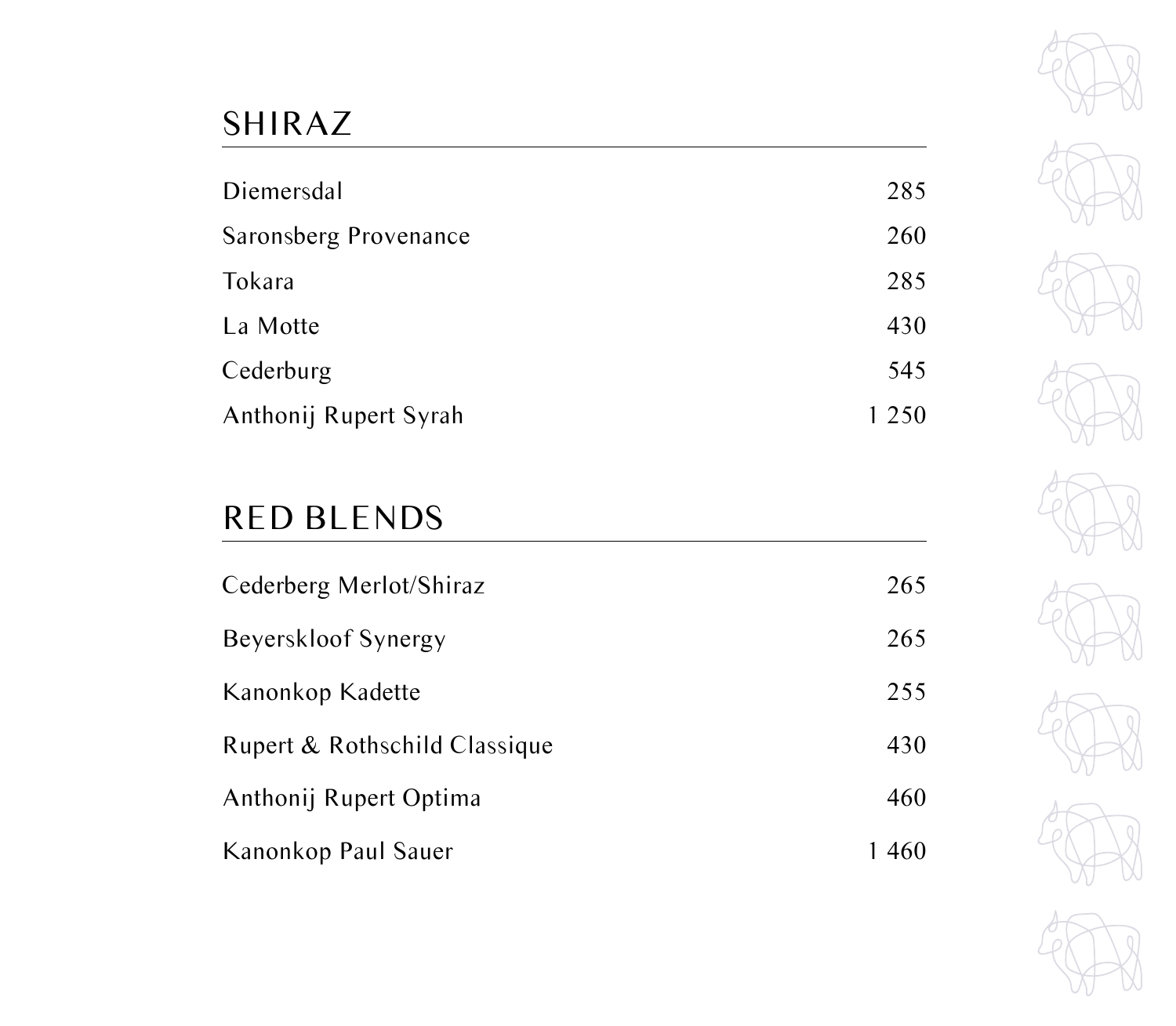# SHIRAZ

| Diemersdal            | 285     |
|-----------------------|---------|
| Saronsberg Provenance | 260     |
| Tokara                | 285     |
| La Motte              | 430     |
| Cederburg             | 545     |
| Anthonij Rupert Syrah | 1 2 5 0 |

# RED BLENDS

| Cederberg Merlot/Shiraz       | 265  |
|-------------------------------|------|
| Beyerskloof Synergy           | 265  |
| Kanonkop Kadette              | 255  |
| Rupert & Rothschild Classique | 430  |
| Anthonij Rupert Optima        | 460  |
| Kanonkop Paul Sauer           | 1460 |

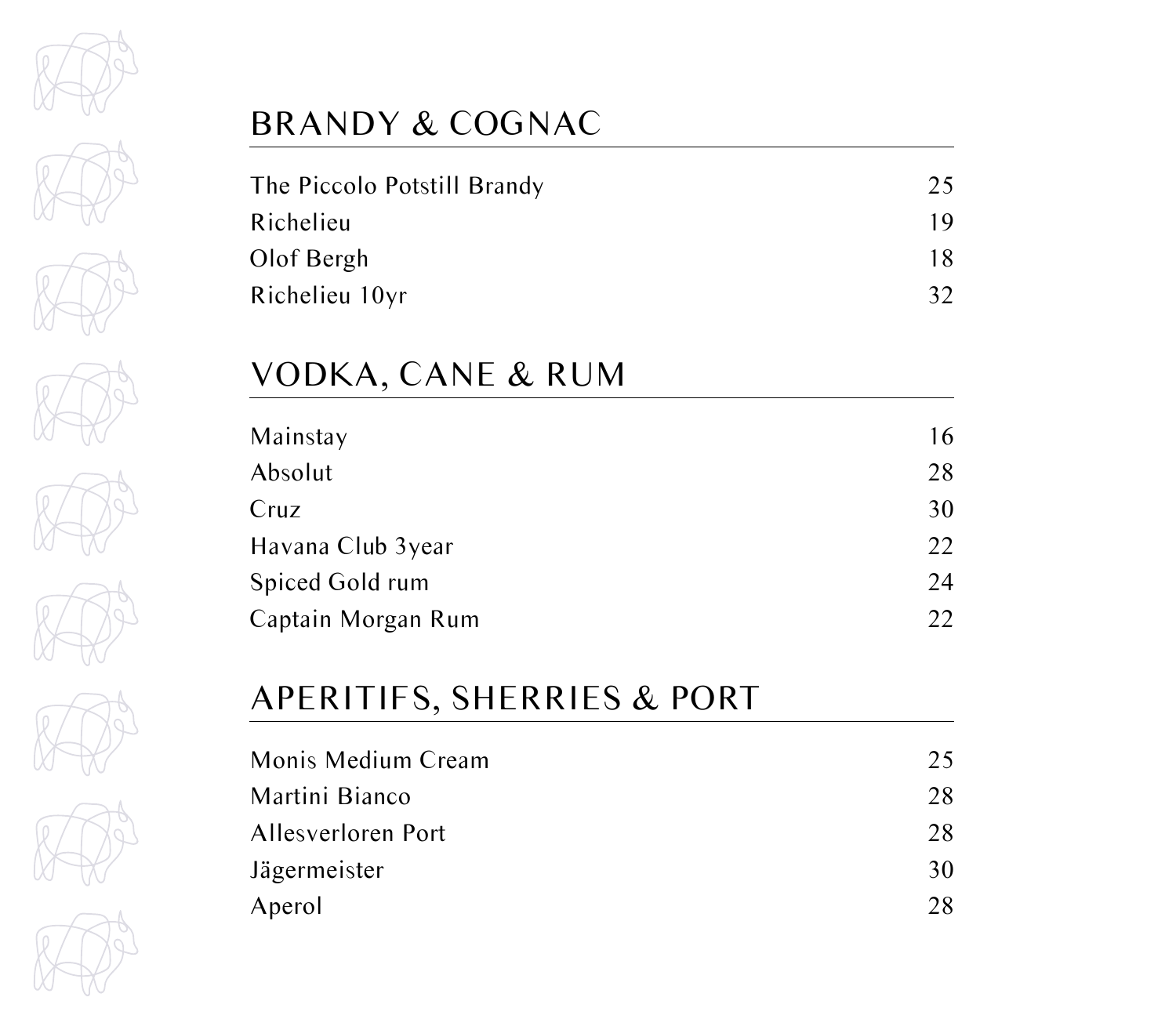

# BRANDY & COGNAC

| The Piccolo Potstill Brandy | 25 |
|-----------------------------|----|
| Richelieu                   | 19 |
| Olof Bergh                  | 18 |
| Richelieu 10yr              | 32 |

## VODKA, CANE & RUM

# APERITIFS, SHERRIES & PORT

| 25 |
|----|
| 28 |
| 28 |
| 30 |
| 28 |
|    |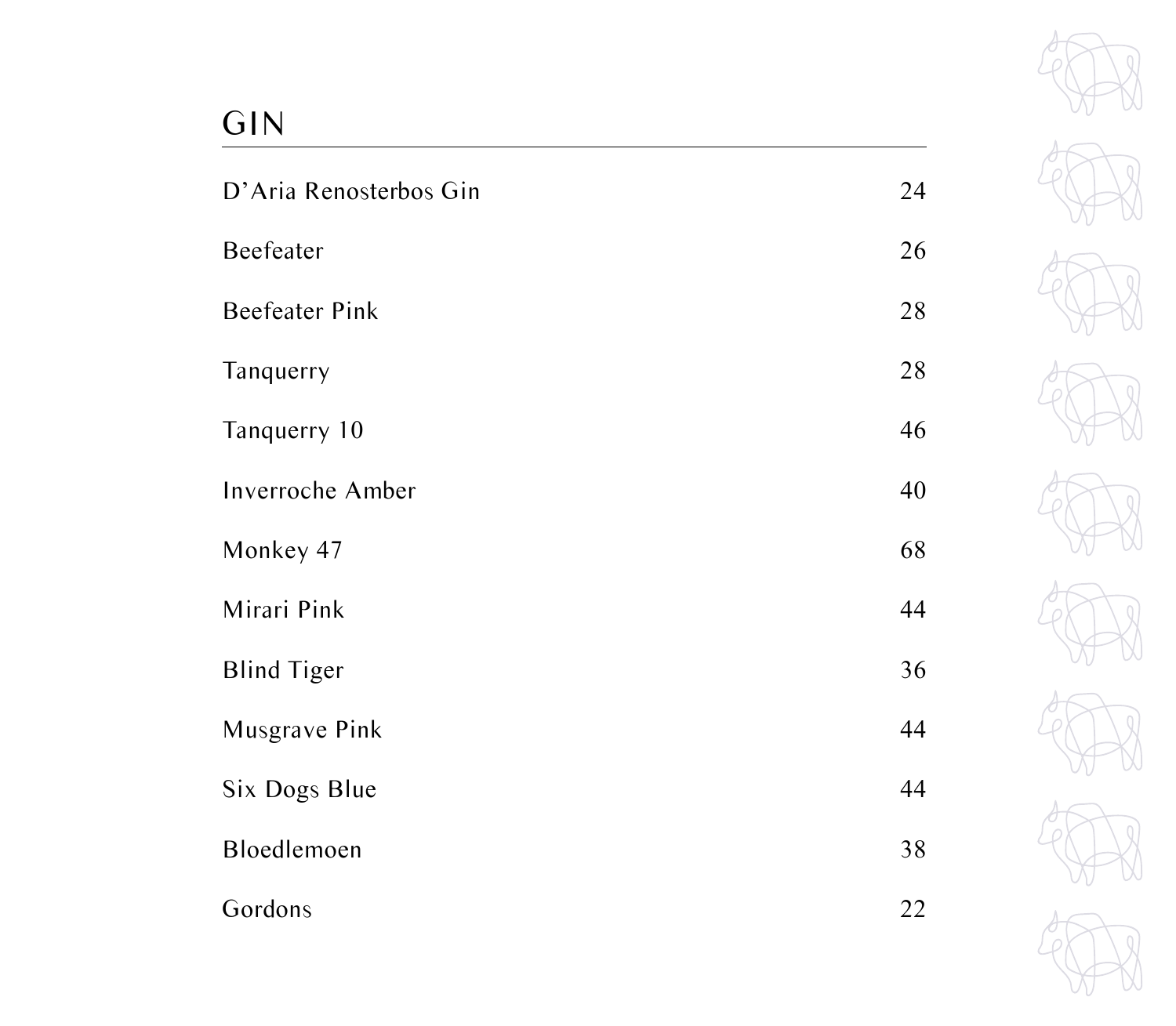# GIN

| D'Aria Renosterbos Gin | 24 |
|------------------------|----|
| Beefeater              | 26 |
| <b>Beefeater Pink</b>  | 28 |
| Tanquerry              | 28 |
| Tanquerry 10           | 46 |
| Inverroche Amber       | 40 |
| Monkey 47              | 68 |
| Mirari Pink            | 44 |
| <b>Blind Tiger</b>     | 36 |
| Musgrave Pink          | 44 |
| Six Dogs Blue          | 44 |
| Bloedlemoen            | 38 |
| Gordons                | 22 |

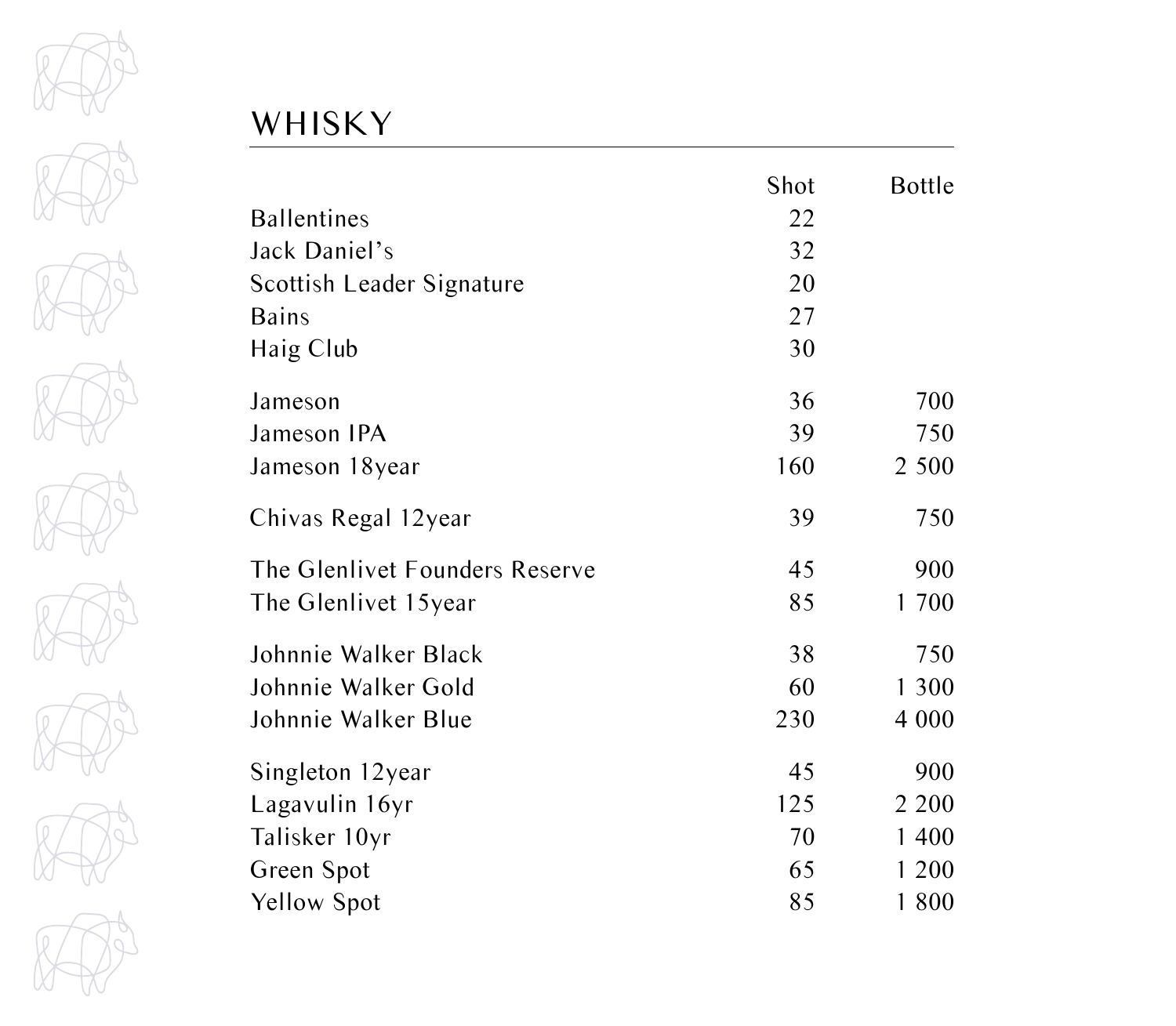

# WHISKY

|                                | Shot | <b>Bottle</b> |
|--------------------------------|------|---------------|
| <b>Ballentines</b>             | 22   |               |
| Jack Daniel's                  | 32   |               |
| Scottish Leader Signature      | 20   |               |
| <b>Bains</b>                   | 27   |               |
| Haig Club                      | 30   |               |
| Jameson                        | 36   | 700           |
| Jameson IPA                    | 39   | 750           |
| Jameson 18year                 | 160  | 2 500         |
| Chivas Regal 12year            | 39   | 750           |
| The Glenlivet Founders Reserve | 45   | 900           |
| The Glenlivet 15year           | 85   | 1 700         |
| Johnnie Walker Black           | 38   | 750           |
| Johnnie Walker Gold            | 60   | 1 300         |
| Johnnie Walker Blue            | 230  | 4 0 0 0       |
| Singleton 12year               | 45   | 900           |
| Lagavulin 16yr                 | 125  | 2 2 0 0       |
| Talisker 10yr                  | 70   | 1 400         |
| Green Spot                     | 65   | 1 200         |
| <b>Yellow Spot</b>             | 85   | 1800          |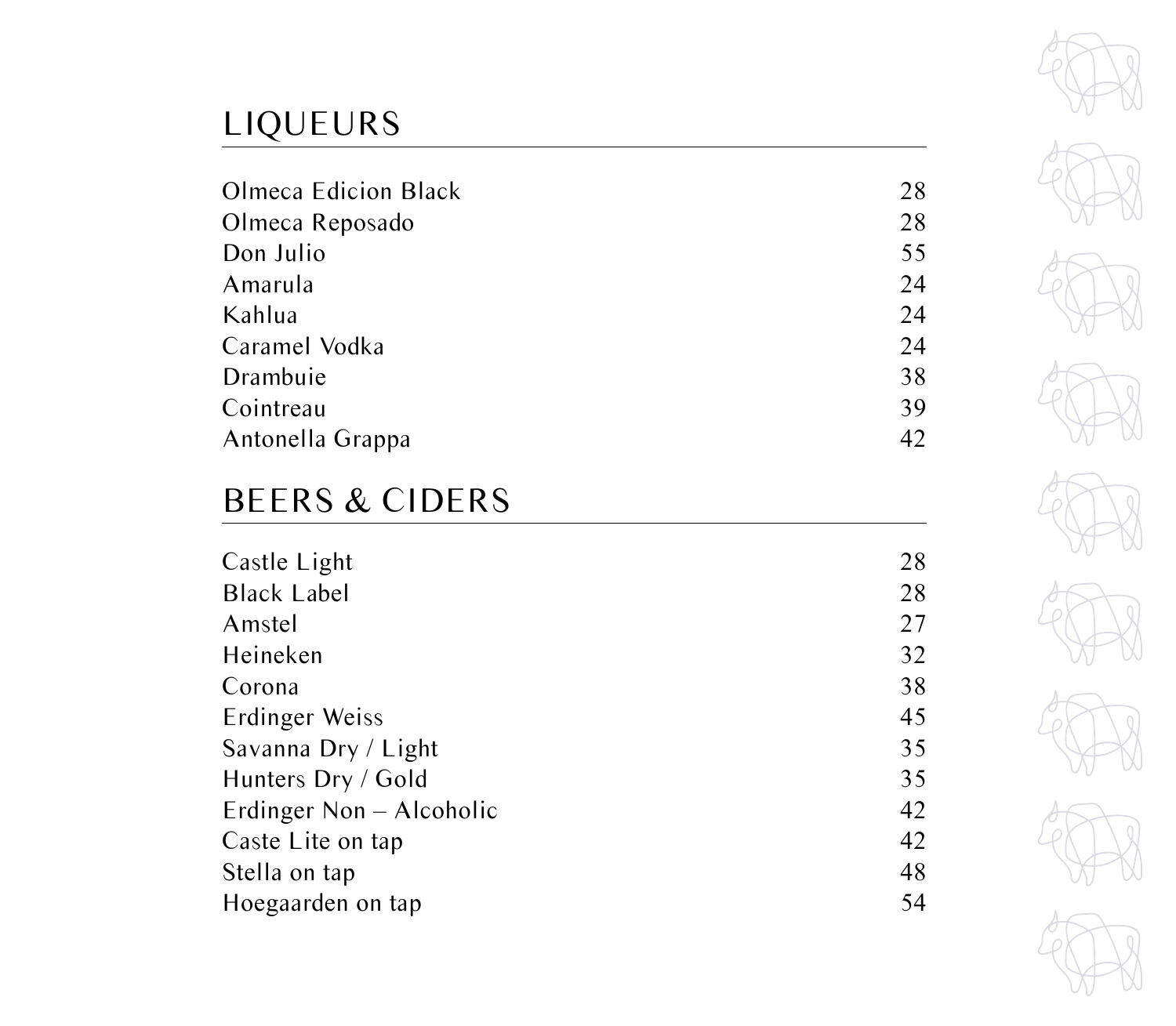# LIQUEURS

| <b>Olmeca Edicion Black</b> | 28 |
|-----------------------------|----|
| Olmeca Reposado             | 28 |
| Don Julio                   | 55 |
| Amarula                     | 24 |
| Kahlua                      | 24 |
| Caramel Vodka               | 24 |
| Drambuie                    | 38 |
| Cointreau                   | 39 |
| Antonella Grappa            | 42 |
|                             |    |

# BEERS & CIDERS

| Castle Light             | 28 |
|--------------------------|----|
| <b>Black Label</b>       | 28 |
| Amstel                   | 27 |
| Heineken                 | 32 |
| Corona                   | 38 |
| Erdinger Weiss           | 45 |
| Savanna Dry / Light      | 35 |
| Hunters Dry / Gold       | 35 |
| Erdinger Non – Alcoholic | 42 |
| Caste Lite on tap        | 42 |
| Stella on tap            | 48 |
| Hoegaarden on tap        | 54 |
|                          |    |